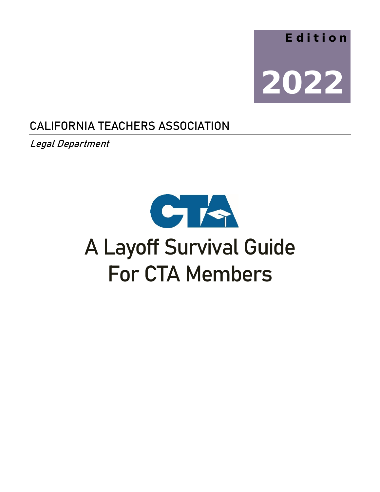

# CALIFORNIA TEACHERS ASSOCIATION

Legal Department



# A Layoff Survival Guide For CTA Members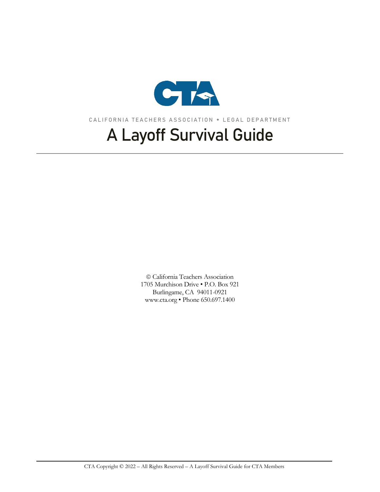

CALIFORNIA TEACHERS ASSOCIATION LEGAL DEPARTMENT

# A Layoff Survival Guide

 California Teachers Association 1705 Murchison Drive • P.O. Box 921 Burlingame, CA 94011-0921 www.cta.org • Phone 650.697.1400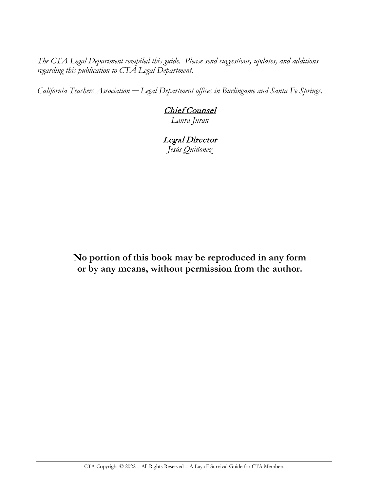*The CTA Legal Department compiled this guide. Please send suggestions, updates, and additions regarding this publication to CTA Legal Department.*

*California Teachers Association — Legal Department offices in Burlingame and Santa Fe Springs.*

# Chief Counsel

*Laura Juran*

#### Legal Director *Jesús Quiñonez*

**No portion of this book may be reproduced in any form or by any means, without permission from the author.**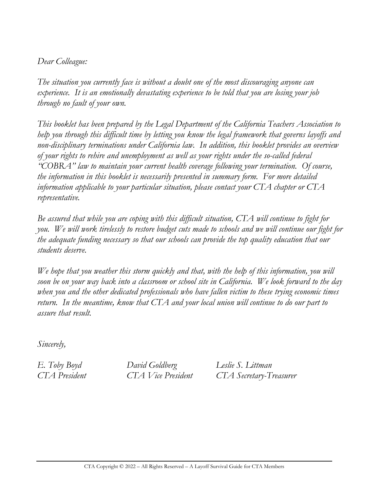#### *Dear Colleague:*

*The situation you currently face is without a doubt one of the most discouraging anyone can experience. It is an emotionally devastating experience to be told that you are losing your job through no fault of your own.* 

*This booklet has been prepared by the Legal Department of the California Teachers Association to help you through this difficult time by letting you know the legal framework that governs layoffs and non-disciplinary terminations under California law. In addition, this booklet provides an overview of your rights to rehire and unemployment as well as your rights under the so-called federal "COBRA" law to maintain your current health coverage following your termination. Of course, the information in this booklet is necessarily presented in summary form. For more detailed information applicable to your particular situation, please contact your CTA chapter or CTA representative.* 

*Be assured that while you are coping with this difficult situation, CTA will continue to fight for you. We will work tirelessly to restore budget cuts made to schools and we will continue our fight for the adequate funding necessary so that our schools can provide the top quality education that our students deserve.* 

*We hope that you weather this storm quickly and that, with the help of this information, you will soon be on your way back into a classroom or school site in California. We look forward to the day when you and the other dedicated professionals who have fallen victim to these trying economic times return. In the meantime, know that CTA and your local union will continue to do our part to assure that result.*

*Sincerely,*

*E. Toby Boyd David Goldberg Leslie S. Littman*

*CTA President CTA Vice President CTA Secretary-Treasurer*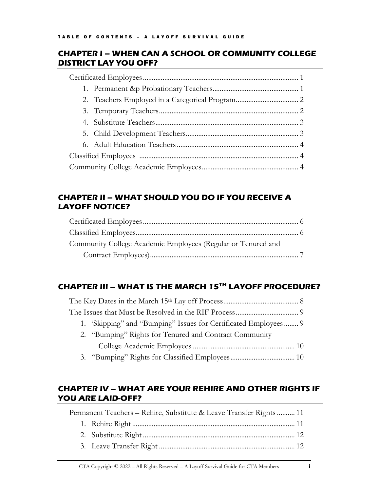#### **CHAPTER I – WHEN CAN A SCHOOL OR COMMUNITY COLLEGE DISTRICT LAY YOU OFF?**

### **CHAPTER II – WHAT SHOULD YOU DO IF YOU RECEIVE A LAYOFF NOTICE?**

| Community College Academic Employees (Regular or Tenured and |  |
|--------------------------------------------------------------|--|
|                                                              |  |

### **CHAPTER III – WHAT IS THE MARCH 15TH LAYOFF PROCEDURE?**

| 1. 'Skipping' and "Bumping" Issues for Certificated Employees 9 |  |  |  |
|-----------------------------------------------------------------|--|--|--|
| 2. "Bumping" Rights for Tenured and Contract Community          |  |  |  |
|                                                                 |  |  |  |

3. "Bumping" Rights for Classified Employees.................................... 10

#### **CHAPTER IV – WHAT ARE YOUR REHIRE AND OTHER RIGHTS IF YOU ARE LAID-OFF?**

| Permanent Teachers – Rehire, Substitute & Leave Transfer Rights  11 |  |  |  |
|---------------------------------------------------------------------|--|--|--|
|                                                                     |  |  |  |
|                                                                     |  |  |  |
|                                                                     |  |  |  |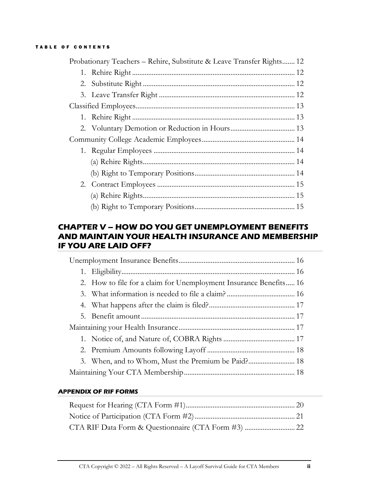#### TABLE OF CONTENTS

| Probationary Teachers - Rehire, Substitute & Leave Transfer Rights 12 |  |
|-----------------------------------------------------------------------|--|
|                                                                       |  |
|                                                                       |  |
|                                                                       |  |
|                                                                       |  |
|                                                                       |  |
|                                                                       |  |
|                                                                       |  |
|                                                                       |  |
|                                                                       |  |
|                                                                       |  |
|                                                                       |  |
|                                                                       |  |
|                                                                       |  |

#### **CHAPTER V – HOW DO YOU GET UNEMPLOYMENT BENEFITS AND MAINTAIN YOUR HEALTH INSURANCE AND MEMBERSHIP IF YOU ARE LAID OFF?**

|  | 2. How to file for a claim for Unemployment Insurance Benefits 16 |  |  |
|--|-------------------------------------------------------------------|--|--|
|  |                                                                   |  |  |
|  |                                                                   |  |  |
|  |                                                                   |  |  |
|  |                                                                   |  |  |
|  |                                                                   |  |  |
|  |                                                                   |  |  |
|  |                                                                   |  |  |
|  |                                                                   |  |  |

#### **APPENDIX OF RIF FORMS**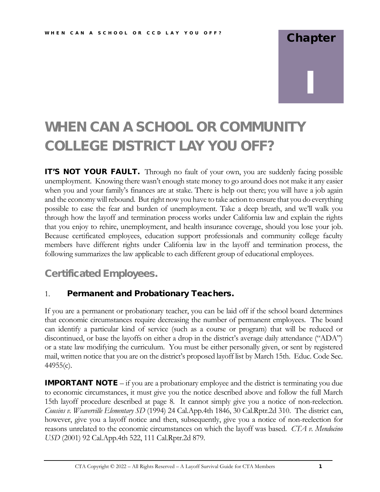# **Chapter** I

# WHEN CAN A SCHOOL OR COMMUNITY COLLEGE DISTRICT LAY YOU OFF?

IT'S NOT YOUR FAULT. Through no fault of your own, you are suddenly facing possible unemployment. Knowing there wasn't enough state money to go around does not make it any easier when you and your family's finances are at stake. There is help out there; you will have a job again and the economy will rebound. But right now you have to take action to ensure that you do everything possible to ease the fear and burden of unemployment. Take a deep breath, and we'll walk you through how the layoff and termination process works under California law and explain the rights that you enjoy to rehire, unemployment, and health insurance coverage, should you lose your job. Because certificated employees, education support professionals and community college faculty members have different rights under California law in the layoff and termination process, the following summarizes the law applicable to each different group of educational employees.

# Certificated Employees.

#### 1. Permanent and Probationary Teachers.

If you are a permanent or probationary teacher, you can be laid off if the school board determines that economic circumstances require decreasing the number of permanent employees. The board can identify a particular kind of service (such as a course or program) that will be reduced or discontinued, or base the layoffs on either a drop in the district's average daily attendance ("ADA") or a state law modifying the curriculum. You must be either personally given, or sent by registered mail, written notice that you are on the district's proposed layoff list by March 15th. Educ. Code Sec. 44955(c).

**IMPORTANT NOTE** – if you are a probationary employee and the district is terminating you due to economic circumstances, it must give you the notice described above and follow the full March 15th layoff procedure described at page 8. It cannot simply give you a notice of non-reelection. *Cousins v. Weaverville Elementary SD* (1994) 24 Cal.App.4th 1846, 30 Cal.Rptr.2d 310. The district can, however, give you a layoff notice and then, subsequently, give you a notice of non-reelection for reasons unrelated to the economic circumstances on which the layoff was based. *CTA v. Mendocino USD* (2001) 92 Cal.App.4th 522, 111 Cal.Rptr.2d 879.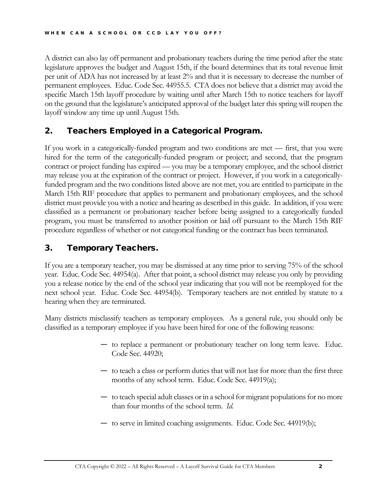A district can also lay off permanent and probationary teachers during the time period after the state legislature approves the budget and August 15th, if the board determines that its total revenue limit per unit of ADA has not increased by at least 2% and that it is necessary to decrease the number of permanent employees. Educ. Code Sec. 44955.5. CTA does not believe that a district may avoid the specific March 15th layoff procedure by waiting until after March 15th to notice teachers for layoff on the ground that the legislature's anticipated approval of the budget later this spring will reopen the layoff window any time up until August 15th.

#### 2. Teachers Employed in a Categorical Program.

If you work in a categorically-funded program and two conditions are met — first, that you were hired for the term of the categorically-funded program or project; and second, that the program contract or project funding has expired — you may be a temporary employee, and the school district may release you at the expiration of the contract or project. However, if you work in a categoricallyfunded program and the two conditions listed above are not met, you are entitled to participate in the March 15th RIF procedure that applies to permanent and probationary employees, and the school district must provide you with a notice and hearing as described in this guide. In addition, if you were classified as a permanent or probationary teacher before being assigned to a categorically funded program, you must be transferred to another position or laid off pursuant to the March 15th RIF procedure regardless of whether or not categorical funding or the contract has been terminated.

#### 3. Temporary Teachers.

If you are a temporary teacher, you may be dismissed at any time prior to serving 75% of the school year. Educ. Code Sec. 44954(a). After that point, a school district may release you only by providing you a release notice by the end of the school year indicating that you will not be reemployed for the next school year. Educ. Code Sec. 44954(b). Temporary teachers are not entitled by statute to a hearing when they are terminated.

Many districts misclassify teachers as temporary employees. As a general rule, you should only be classified as a temporary employee if you have been hired for one of the following reasons:

- to replace a permanent or probationary teacher on long term leave. Educ. Code Sec. 44920;
- to teach a class or perform duties that will not last for more than the first three months of any school term. Educ. Code Sec. 44919(a);
- to teach special adult classes or in a school for migrant populations for no more than four months of the school term. *Id.*
- to serve in limited coaching assignments. Educ. Code Sec. 44919(b);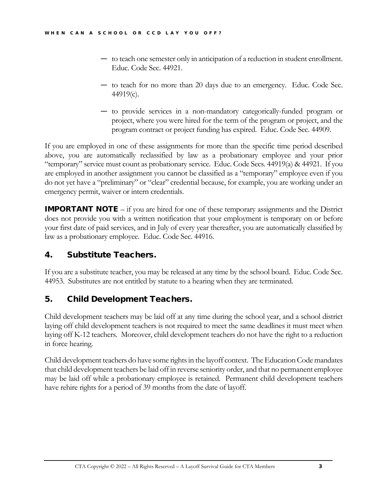- to teach one semester only in anticipation of a reduction in student enrollment. Educ. Code Sec. 44921.
- to teach for no more than 20 days due to an emergency. Educ. Code Sec. 44919(c).
- to provide services in a non-mandatory categorically-funded program or project, where you were hired for the term of the program or project, and the program contract or project funding has expired. Educ. Code Sec. 44909.

If you are employed in one of these assignments for more than the specific time period described above, you are automatically reclassified by law as a probationary employee and your prior "temporary" service must count as probationary service. Educ. Code Secs. 44919(a) & 44921. If you are employed in another assignment you cannot be classified as a "temporary" employee even if you do not yet have a "preliminary" or "clear" credential because, for example, you are working under an emergency permit, waiver or intern credentials.

**IMPORTANT NOTE** – if you are hired for one of these temporary assignments and the District does not provide you with a written notification that your employment is temporary on or before your first date of paid services, and in July of every year thereafter, you are automatically classified by law as a probationary employee. Educ. Code Sec. 44916.

#### 4. Substitute Teachers.

If you are a substitute teacher, you may be released at any time by the school board. Educ. Code Sec. 44953. Substitutes are not entitled by statute to a hearing when they are terminated.

#### 5. Child Development Teachers.

Child development teachers may be laid off at any time during the school year, and a school district laying off child development teachers is not required to meet the same deadlines it must meet when laying off K-12 teachers. Moreover, child development teachers do not have the right to a reduction in force hearing.

Child development teachers do have some rights in the layoff context. The Education Code mandates that child development teachers be laid off in reverse seniority order, and that no permanent employee may be laid off while a probationary employee is retained. Permanent child development teachers have rehire rights for a period of 39 months from the date of layoff.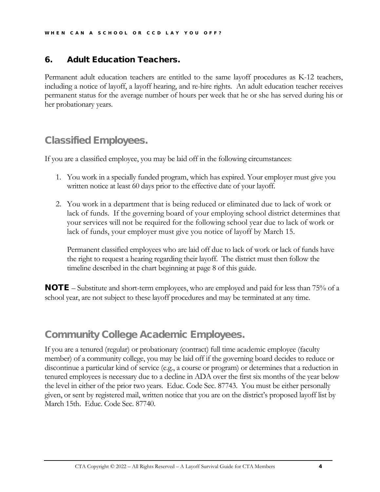#### 6. Adult Education Teachers.

Permanent adult education teachers are entitled to the same layoff procedures as K-12 teachers, including a notice of layoff, a layoff hearing, and re-hire rights. An adult education teacher receives permanent status for the average number of hours per week that he or she has served during his or her probationary years.

# Classified Employees.

If you are a classified employee, you may be laid off in the following circumstances:

- 1. You work in a specially funded program, which has expired. Your employer must give you written notice at least 60 days prior to the effective date of your layoff.
- 2. You work in a department that is being reduced or eliminated due to lack of work or lack of funds. If the governing board of your employing school district determines that your services will not be required for the following school year due to lack of work or lack of funds, your employer must give you notice of layoff by March 15.

Permanent classified employees who are laid off due to lack of work or lack of funds have the right to request a hearing regarding their layoff. The district must then follow the timeline described in the chart beginning at page 8 of this guide.

NOTE – Substitute and short-term employees, who are employed and paid for less than 75% of a school year, are not subject to these layoff procedures and may be terminated at any time.

# Community College Academic Employees.

If you are a tenured (regular) or probationary (contract) full time academic employee (faculty member) of a community college, you may be laid off if the governing board decides to reduce or discontinue a particular kind of service (e.g., a course or program) or determines that a reduction in tenured employees is necessary due to a decline in ADA over the first six months of the year below the level in either of the prior two years. Educ. Code Sec. 87743. You must be either personally given, or sent by registered mail, written notice that you are on the district's proposed layoff list by March 15th. Educ. Code Sec. 87740.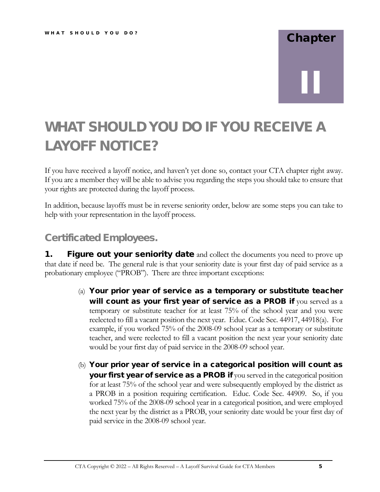# Chapter II

# WHAT SHOULD YOU DO IF YOU RECEIVE A LAYOFF NOTICE?

If you have received a layoff notice, and haven't yet done so, contact your CTA chapter right away. If you are a member they will be able to advise you regarding the steps you should take to ensure that your rights are protected during the layoff process.

In addition, because layoffs must be in reverse seniority order, below are some steps you can take to help with your representation in the layoff process.

# Certificated Employees.

**1.** Figure out your seniority date and collect the documents you need to prove up that date if need be. The general rule is that your seniority date is your first day of paid service as a probationary employee ("PROB"). There are three important exceptions:

- (a) Your prior year of service as a temporary or substitute teacher will count as your first year of service as a PROB if you served as a temporary or substitute teacher for at least 75% of the school year and you were reelected to fill a vacant position the next year. Educ. Code Sec. 44917, 44918(a). For example, if you worked 75% of the 2008-09 school year as a temporary or substitute teacher, and were reelected to fill a vacant position the next year your seniority date would be your first day of paid service in the 2008-09 school year.
- (b) Your prior year of service in a categorical position will count as your first year of service as a PROB if you served in the categorical position for at least 75% of the school year and were subsequently employed by the district as a PROB in a position requiring certification. Educ. Code Sec. 44909. So, if you worked 75% of the 2008-09 school year in a categorical position, and were employed the next year by the district as a PROB, your seniority date would be your first day of paid service in the 2008-09 school year.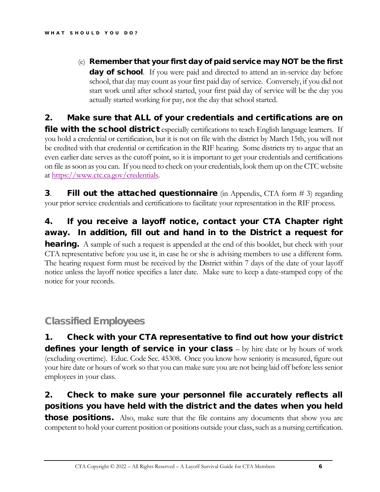$(c)$  Remember that your first day of paid service may NOT be the first day of school. If you were paid and directed to attend an in-service day before school, that day may count as your first paid day of service. Conversely, if you did not start work until after school started, your first paid day of service will be the day you actually started working for pay, not the day that school started.

### 2. Make sure that ALL of your credentials and certifications are on

**file with the school district** especially certifications to teach English language learners. If you hold a credential or certification, but it is not on file with the district by March 15th, you will not be credited with that credential or certification in the RIF hearing. Some districts try to argue that an even earlier date serves as the cutoff point, so it is important to get your credentials and certifications on file as soon as you can. If you need to check on your credentials, look them up on the CTC website at https://www.ctc.ca.gov/credentials.

**3.** Fill out the attached questionnaire (in Appendix, CTA form  $# 3$ ) regarding your prior service credentials and certifications to facilitate your representation in the RIF process.

## 4. If you receive a layoff notice, contact your CTA Chapter right away. In addition, fill out and hand in to the District a request for

**hearing.** A sample of such a request is appended at the end of this booklet, but check with your CTA representative before you use it, in case he or she is advising members to use a different form. The hearing request form must be received by the District within 7 days of the date of your layoff notice unless the layoff notice specifies a later date. Make sure to keep a date-stamped copy of the notice for your records.

# Classified Employees

1. Check with your CTA representative to find out how your district defines your length of service in your class – by hire date or by hours of work (excluding overtime). Educ. Code Sec. 45308. Once you know how seniority is measured, figure out your hire date or hours of work so that you can make sure you are not being laid off before less senior employees in your class.

## 2. Check to make sure your personnel file accurately reflects all positions you have held with the district and the dates when you held

**those positions.** Also, make sure that the file contains any documents that show you are competent to hold your current position or positions outside your class, such as a nursing certification.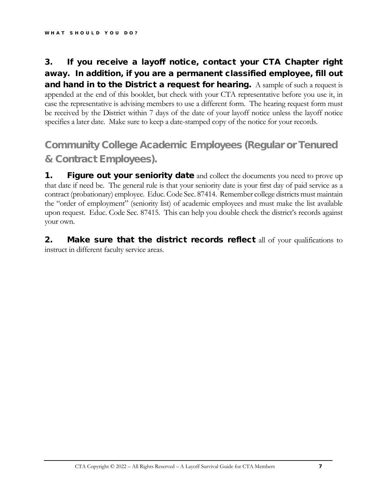### 3. If you receive a layoff notice, contact your CTA Chapter right away. In addition, if you are a permanent classified employee, fill out **and hand in to the District a request for hearing.** A sample of such a request is appended at the end of this booklet, but check with your CTA representative before you use it, in case the representative is advising members to use a different form. The hearing request form must be received by the District within 7 days of the date of your layoff notice unless the layoff notice specifies a later date. Make sure to keep a date-stamped copy of the notice for your records.

# Community College Academic Employees (Regular or Tenured & Contract Employees).

**1.** Figure out your seniority date and collect the documents you need to prove up that date if need be. The general rule is that your seniority date is your first day of paid service as a contract (probationary) employee. Educ. Code Sec. 87414. Remember college districts must maintain the "order of employment" (seniority list) of academic employees and must make the list available upon request. Educ. Code Sec. 87415. This can help you double check the district's records against your own.

**2.** Make sure that the district records reflect all of your qualifications to instruct in different faculty service areas.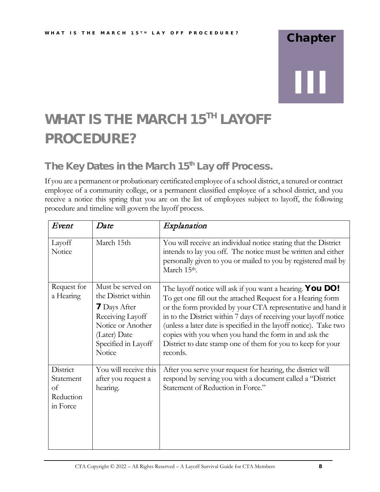# Chapter III

# WHAT IS THE MARCH 15<sup>TH</sup> LAYOFF PROCEDURE?

# The Key Dates in the March 15<sup>th</sup> Lay off Process.

If you are a permanent or probationary certificated employee of a school district, a tenured or contract employee of a community college, or a permanent classified employee of a school district, and you receive a notice this spring that you are on the list of employees subject to layoff, the following procedure and timeline will govern the layoff process.

| Event                                                | Date                                                                                                                                                      | Explanation                                                                                                                                                                                                                                                                                                                                                                                                                                                                 |
|------------------------------------------------------|-----------------------------------------------------------------------------------------------------------------------------------------------------------|-----------------------------------------------------------------------------------------------------------------------------------------------------------------------------------------------------------------------------------------------------------------------------------------------------------------------------------------------------------------------------------------------------------------------------------------------------------------------------|
| Layoff<br>Notice                                     | March 15th                                                                                                                                                | You will receive an individual notice stating that the District<br>intends to lay you off. The notice must be written and either<br>personally given to you or mailed to you by registered mail by<br>March 15th.                                                                                                                                                                                                                                                           |
| Request for<br>a Hearing                             | Must be served on<br>the District within<br><b>7</b> Days After<br>Receiving Layoff<br>Notice or Another<br>(Later) Date<br>Specified in Layoff<br>Notice | The layoff notice will ask if you want a hearing. <b>You DO!</b><br>To get one fill out the attached Request for a Hearing form<br>or the form provided by your CTA representative and hand it<br>in to the District within 7 days of receiving your layoff notice<br>(unless a later date is specified in the layoff notice). Take two<br>copies with you when you hand the form in and ask the<br>District to date stamp one of them for you to keep for your<br>records. |
| District<br>Statement<br>of<br>Reduction<br>in Force | You will receive this<br>after you request a<br>hearing.                                                                                                  | After you serve your request for hearing, the district will<br>respond by serving you with a document called a "District"<br>Statement of Reduction in Force."                                                                                                                                                                                                                                                                                                              |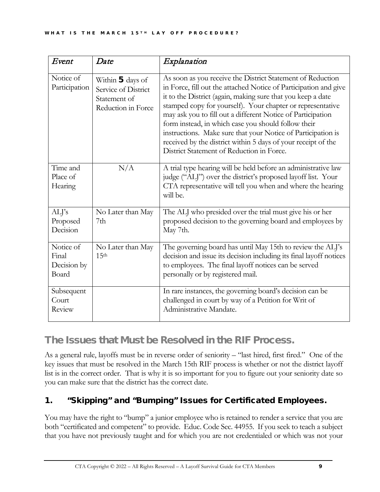| Event                                      | Date                                                                          | Explanation                                                                                                                                                                                                                                                                                                                                                                                                                                                                                                                                                     |
|--------------------------------------------|-------------------------------------------------------------------------------|-----------------------------------------------------------------------------------------------------------------------------------------------------------------------------------------------------------------------------------------------------------------------------------------------------------------------------------------------------------------------------------------------------------------------------------------------------------------------------------------------------------------------------------------------------------------|
| Notice of<br>Participation                 | Within 5 days of<br>Service of District<br>Statement of<br>Reduction in Force | As soon as you receive the District Statement of Reduction<br>in Force, fill out the attached Notice of Participation and give<br>it to the District (again, making sure that you keep a date<br>stamped copy for yourself). Your chapter or representative<br>may ask you to fill out a different Notice of Participation<br>form instead, in which case you should follow their<br>instructions. Make sure that your Notice of Participation is<br>received by the district within 5 days of your receipt of the<br>District Statement of Reduction in Force. |
| Time and<br>Place of<br>Hearing            | N/A                                                                           | A trial type hearing will be held before an administrative law<br>judge ("ALJ") over the district's proposed layoff list. Your<br>CTA representative will tell you when and where the hearing<br>will be.                                                                                                                                                                                                                                                                                                                                                       |
| ALJ's<br>Proposed<br>Decision              | No Later than May<br>7th                                                      | The ALJ who presided over the trial must give his or her<br>proposed decision to the governing board and employees by<br>May 7th.                                                                                                                                                                                                                                                                                                                                                                                                                               |
| Notice of<br>Final<br>Decision by<br>Board | No Later than May<br>15 <sup>th</sup>                                         | The governing board has until May 15th to review the ALJ's<br>decision and issue its decision including its final layoff notices<br>to employees. The final layoff notices can be served<br>personally or by registered mail.                                                                                                                                                                                                                                                                                                                                   |
| Subsequent<br>Court<br>Review              |                                                                               | In rare instances, the governing board's decision can be<br>challenged in court by way of a Petition for Writ of<br>Administrative Mandate.                                                                                                                                                                                                                                                                                                                                                                                                                     |

# The Issues that Must be Resolved in the RIF Process.

As a general rule, layoffs must be in reverse order of seniority – "last hired, first fired." One of the key issues that must be resolved in the March 15th RIF process is whether or not the district layoff list is in the correct order. That is why it is so important for you to figure out your seniority date so you can make sure that the district has the correct date.

## 1. "Skipping" and "Bumping" Issues for Certificated Employees.

You may have the right to "bump" a junior employee who is retained to render a service that you are both "certificated and competent" to provide. Educ. Code Sec. 44955. If you seek to teach a subject that you have not previously taught and for which you are not credentialed or which was not your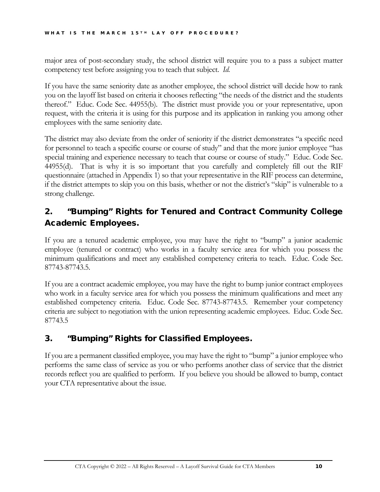major area of post-secondary study, the school district will require you to a pass a subject matter competency test before assigning you to teach that subject. *Id.*

If you have the same seniority date as another employee, the school district will decide how to rank you on the layoff list based on criteria it chooses reflecting "the needs of the district and the students thereof." Educ. Code Sec. 44955(b). The district must provide you or your representative, upon request, with the criteria it is using for this purpose and its application in ranking you among other employees with the same seniority date.

The district may also deviate from the order of seniority if the district demonstrates "a specific need for personnel to teach a specific course or course of study" and that the more junior employee "has special training and experience necessary to teach that course or course of study." Educ. Code Sec. 44955(d). That is why it is so important that you carefully and completely fill out the RIF questionnaire (attached in Appendix 1) so that your representative in the RIF process can determine, if the district attempts to skip you on this basis, whether or not the district's "skip" is vulnerable to a strong challenge.

## 2. "Bumping" Rights for Tenured and Contract Community College Academic Employees.

If you are a tenured academic employee, you may have the right to "bump" a junior academic employee (tenured or contract) who works in a faculty service area for which you possess the minimum qualifications and meet any established competency criteria to teach. Educ. Code Sec. 87743-87743.5.

If you are a contract academic employee, you may have the right to bump junior contract employees who work in a faculty service area for which you possess the minimum qualifications and meet any established competency criteria. Educ. Code Sec. 87743-87743.5. Remember your competency criteria are subject to negotiation with the union representing academic employees. Educ. Code Sec. 87743.5

### 3. "Bumping" Rights for Classified Employees.

If you are a permanent classified employee, you may have the right to "bump" a junior employee who performs the same class of service as you or who performs another class of service that the district records reflect you are qualified to perform. If you believe you should be allowed to bump, contact your CTA representative about the issue.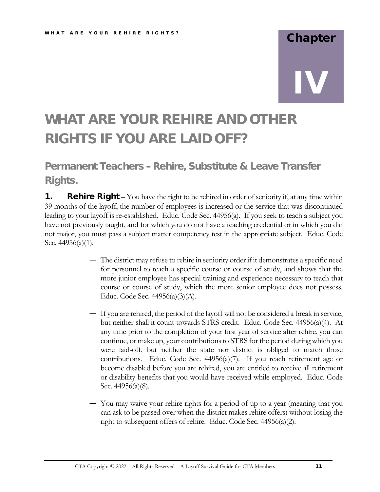# Chapter IV

# WHAT ARE YOUR REHIRE AND OTHER RIGHTS IF YOU ARE LAID OFF?

Permanent Teachers – Rehire, Substitute & Leave Transfer Rights.

**1.** Rehire Right – You have the right to be rehired in order of seniority if, at any time within 39 months of the layoff, the number of employees is increased or the service that was discontinued leading to your layoff is re-established. Educ. Code Sec. 44956(a). If you seek to teach a subject you have not previously taught, and for which you do not have a teaching credential or in which you did not major, you must pass a subject matter competency test in the appropriate subject. Educ. Code Sec. 44956(a)(1).

- The district may refuse to rehire in seniority order if it demonstrates a specific need for personnel to teach a specific course or course of study, and shows that the more junior employee has special training and experience necessary to teach that course or course of study, which the more senior employee does not possess. Educ. Code Sec. 44956(a)(3)(A).
- If you are rehired, the period of the layoff will not be considered a break in service, but neither shall it count towards STRS credit. Educ. Code Sec. 44956(a)(4). At any time prior to the completion of your first year of service after rehire, you can continue, or make up, your contributions to STRS for the period during which you were laid-off, but neither the state nor district is obliged to match those contributions. Educ. Code Sec.  $44956(a)(7)$ . If you reach retirement age or become disabled before you are rehired, you are entitled to receive all retirement or disability benefits that you would have received while employed. Educ. Code Sec. 44956(a)(8).
- You may waive your rehire rights for a period of up to a year (meaning that you can ask to be passed over when the district makes rehire offers) without losing the right to subsequent offers of rehire. Educ. Code Sec. 44956(a)(2).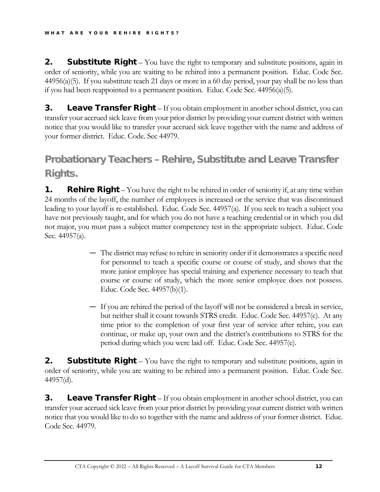**2.** Substitute Right – You have the right to temporary and substitute positions, again in order of seniority, while you are waiting to be rehired into a permanent position. Educ. Code Sec. 44956(a)(5). If you substitute teach 21 days or more in a 60 day period, your pay shall be no less than if you had been reappointed to a permanent position. Educ. Code Sec. 44956(a)(5).

**3.** Leave Transfer Right – If you obtain employment in another school district, you can transfer your accrued sick leave from your prior district by providing your current district with written notice that you would like to transfer your accrued sick leave together with the name and address of your former district. Educ. Code. Sec 44979.

# Probationary Teachers – Rehire, Substitute and Leave Transfer Rights.

**1.** Rehire Right – You have the right to be rehired in order of seniority if, at any time within 24 months of the layoff, the number of employees is increased or the service that was discontinued leading to your layoff is re-established. Educ. Code Sec. 44957(a). If you seek to teach a subject you have not previously taught, and for which you do not have a teaching credential or in which you did not major, you must pass a subject matter competency test in the appropriate subject. Educ. Code Sec. 44957(a).

- The district may refuse to rehire in seniority order if it demonstrates a specific need for personnel to teach a specific course or course of study, and shows that the more junior employee has special training and experience necessary to teach that course or course of study, which the more senior employee does not possess. Educ. Code Sec. 44957(b)(1).
- If you are rehired the period of the layoff will not be considered a break in service, but neither shall it count towards STRS credit. Educ. Code Sec. 44957(c). At any time prior to the completion of your first year of service after rehire, you can continue, or make up, your own and the district's contributions to STRS for the period during which you were laid off. Educ. Code Sec. 44957(e).

**2.** Substitute Right – You have the right to temporary and substitute positions, again in order of seniority, while you are waiting to be rehired into a permanent position. Educ. Code Sec. 44957(d).

**3.** Leave Transfer Right – If you obtain employment in another school district, you can transfer your accrued sick leave from your prior district by providing your current district with written notice that you would like to do so together with the name and address of your former district. Educ. Code Sec. 44979.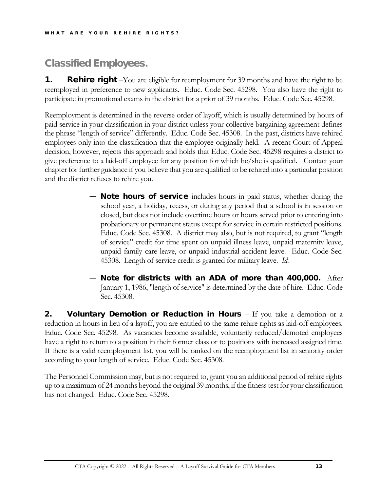# Classified Employees.

**1.** Rehire right –You are eligible for reemployment for 39 months and have the right to be reemployed in preference to new applicants. Educ. Code Sec. 45298. You also have the right to participate in promotional exams in the district for a prior of 39 months. Educ. Code Sec. 45298.

Reemployment is determined in the reverse order of layoff, which is usually determined by hours of paid service in your classification in your district unless your collective bargaining agreement defines the phrase "length of service" differently. Educ. Code Sec. 45308. In the past, districts have rehired employees only into the classification that the employee originally held. A recent Court of Appeal decision, however, rejects this approach and holds that Educ. Code Sec. 45298 requires a district to give preference to a laid-off employee for any position for which he/she is qualified. Contact your chapter for further guidance if you believe that you are qualified to be rehired into a particular position and the district refuses to rehire you.

- **Note hours of service** includes hours in paid status, whether during the school year, a holiday, recess, or during any period that a school is in session or closed, but does not include overtime hours or hours served prior to entering into probationary or permanent status except for service in certain restricted positions. Educ. Code Sec. 45308. A district may also, but is not required, to grant "length of service" credit for time spent on unpaid illness leave, unpaid maternity leave, unpaid family care leave, or unpaid industrial accident leave. Educ. Code Sec. 45308. Length of service credit is granted for military leave. *Id.*
- Note for districts with an ADA of more than 400,000. After January 1, 1986, "length of service" is determined by the date of hire. Educ. Code Sec. 45308.

**2.** Voluntary Demotion or Reduction in Hours – If you take a demotion or a reduction in hours in lieu of a layoff, you are entitled to the same rehire rights as laid-off employees. Educ. Code Sec. 45298. As vacancies become available, voluntarily reduced/demoted employees have a right to return to a position in their former class or to positions with increased assigned time. If there is a valid reemployment list, you will be ranked on the reemployment list in seniority order according to your length of service. Educ. Code Sec. 45308.

The Personnel Commission may, but is not required to, grant you an additional period of rehire rights up to a maximum of 24 months beyond the original 39 months, if the fitness test for your classification has not changed. Educ. Code Sec. 45298.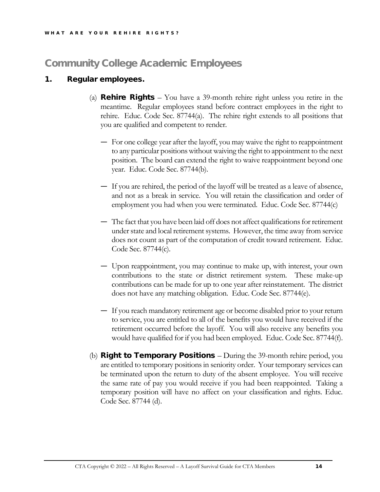# Community College Academic Employees

#### 1. Regular employees.

- (a) **Rehire Rights** You have a 39-month rehire right unless you retire in the meantime. Regular employees stand before contract employees in the right to rehire. Educ. Code Sec. 87744(a). The rehire right extends to all positions that you are qualified and competent to render.
	- For one college year after the layoff, you may waive the right to reappointment to any particular positions without waiving the right to appointment to the next position. The board can extend the right to waive reappointment beyond one year. Educ. Code Sec. 87744(b).
	- If you are rehired, the period of the layoff will be treated as a leave of absence, and not as a break in service. You will retain the classification and order of employment you had when you were terminated. Educ. Code Sec. 87744(c)
	- The fact that you have been laid off does not affect qualifications for retirement under state and local retirement systems. However, the time away from service does not count as part of the computation of credit toward retirement. Educ. Code Sec. 87744(c).
	- Upon reappointment, you may continue to make up, with interest, your own contributions to the state or district retirement system. These make-up contributions can be made for up to one year after reinstatement. The district does not have any matching obligation. Educ. Code Sec. 87744(e).
	- If you reach mandatory retirement age or become disabled prior to your return to service, you are entitled to all of the benefits you would have received if the retirement occurred before the layoff. You will also receive any benefits you would have qualified for if you had been employed. Educ. Code Sec. 87744(f).
- (b) **Right to Temporary Positions** During the 39-month rehire period, you are entitled to temporary positions in seniority order. Your temporary services can be terminated upon the return to duty of the absent employee. You will receive the same rate of pay you would receive if you had been reappointed. Taking a temporary position will have no affect on your classification and rights. Educ. Code Sec. 87744 (d).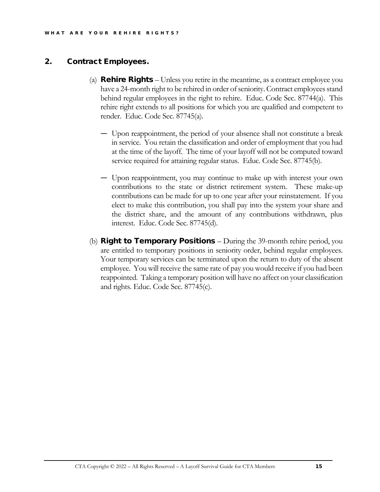#### 2. Contract Employees.

- (a) **Rehire Rights** Unless you retire in the meantime, as a contract employee you have a 24-month right to be rehired in order of seniority. Contract employees stand behind regular employees in the right to rehire. Educ. Code Sec. 87744(a). This rehire right extends to all positions for which you are qualified and competent to render. Educ. Code Sec. 87745(a).
	- Upon reappointment, the period of your absence shall not constitute a break in service. You retain the classification and order of employment that you had at the time of the layoff. The time of your layoff will not be computed toward service required for attaining regular status. Educ. Code Sec. 87745(b).
	- Upon reappointment, you may continue to make up with interest your own contributions to the state or district retirement system. These make-up contributions can be made for up to one year after your reinstatement. If you elect to make this contribution, you shall pay into the system your share and the district share, and the amount of any contributions withdrawn, plus interest. Educ. Code Sec. 87745(d).
- (b) **Right to Temporary Positions** During the 39-month rehire period, you are entitled to temporary positions in seniority order, behind regular employees. Your temporary services can be terminated upon the return to duty of the absent employee. You will receive the same rate of pay you would receive if you had been reappointed. Taking a temporary position will have no affect on your classification and rights. Educ. Code Sec. 87745(c).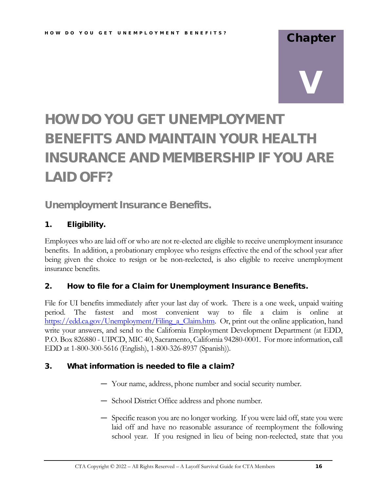# Chapter

# V

# HOW DO YOU GET UNEMPLOYMENT BENEFITS AND MAINTAIN YOUR HEALTH INSURANCE AND MEMBERSHIP IF YOU ARE LAID OFF?

## Unemployment Insurance Benefits.

#### 1. Eligibility.

Employees who are laid off or who are not re-elected are eligible to receive unemployment insurance benefits. In addition, a probationary employee who resigns effective the end of the school year after being given the choice to resign or be non-reelected, is also eligible to receive unemployment insurance benefits.

#### 2. How to file for a Claim for Unemployment Insurance Benefits.

File for UI benefits immediately after your last day of work. There is a one week, unpaid waiting period. The fastest and most convenient way to file a claim is online at https://edd.ca.gov/Unemployment/Filing\_a\_Claim.htm. Or, print out the online application, hand write your answers, and send to the California Employment Development Department (at EDD, P.O. Box 826880 - UIPCD, MIC 40, Sacramento, California 94280-0001. For more information, call EDD at 1-800-300-5616 (English), 1-800-326-8937 (Spanish)).

#### 3. What information is needed to file a claim?

- Your name, address, phone number and social security number.
- School District Office address and phone number.
- Specific reason you are no longer working. If you were laid off, state you were laid off and have no reasonable assurance of reemployment the following school year. If you resigned in lieu of being non-reelected, state that you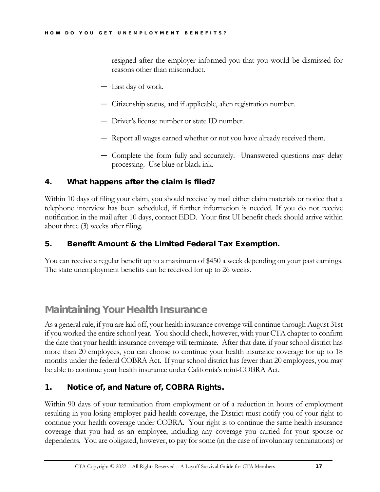resigned after the employer informed you that you would be dismissed for reasons other than misconduct.

- Last day of work.
- Citizenship status, and if applicable, alien registration number.
- Driver's license number or state ID number.
- Report all wages earned whether or not you have already received them.
- Complete the form fully and accurately. Unanswered questions may delay processing. Use blue or black ink.

#### 4. What happens after the claim is filed?

Within 10 days of filing your claim, you should receive by mail either claim materials or notice that a telephone interview has been scheduled, if further information is needed. If you do not receive notification in the mail after 10 days, contact EDD. Your first UI benefit check should arrive within about three (3) weeks after filing.

#### 5. Benefit Amount & the Limited Federal Tax Exemption.

You can receive a regular benefit up to a maximum of \$450 a week depending on your past earnings. The state unemployment benefits can be received for up to 26 weeks.

# Maintaining Your Health Insurance

As a general rule, if you are laid off, your health insurance coverage will continue through August 31st if you worked the entire school year. You should check, however, with your CTA chapter to confirm the date that your health insurance coverage will terminate. After that date, if your school district has more than 20 employees, you can choose to continue your health insurance coverage for up to 18 months under the federal COBRA Act. If your school district has fewer than 20 employees, you may be able to continue your health insurance under California's mini-COBRA Act.

#### 1. Notice of, and Nature of, COBRA Rights.

Within 90 days of your termination from employment or of a reduction in hours of employment resulting in you losing employer paid health coverage, the District must notify you of your right to continue your health coverage under COBRA. Your right is to continue the same health insurance coverage that you had as an employee, including any coverage you carried for your spouse or dependents. You are obligated, however, to pay for some (in the case of involuntary terminations) or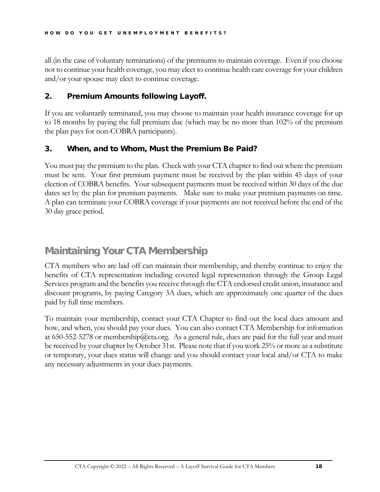all (in the case of voluntary terminations) of the premiums to maintain coverage. Even if you choose not to continue your health coverage, you may elect to continue health care coverage for your children and/or your spouse may elect to continue coverage.

#### 2. Premium Amounts following Layoff.

If you are voluntarily terminated, you may choose to maintain your health insurance coverage for up to 18 months by paying the full premium due (which may be no more than 102% of the premium the plan pays for non-COBRA participants).

#### 3. When, and to Whom, Must the Premium Be Paid?

You must pay the premium to the plan. Check with your CTA chapter to find out where the premium must be sent. Your first premium payment must be received by the plan within 45 days of your election of COBRA benefits. Your subsequent payments must be received within 30 days of the due dates set by the plan for premium payments. Make sure to make your premium payments on time. A plan can terminate your COBRA coverage if your payments are not received before the end of the 30 day grace period.

# Maintaining Your CTA Membership

CTA members who are laid off can maintain their membership, and thereby continue to enjoy the benefits of CTA representation including covered legal representation through the Group Legal Services program and the benefits you receive through the CTA endorsed credit union, insurance and discount programs, by paying Category 3A dues, which are approximately one quarter of the dues paid by full time members.

To maintain your membership, contact your CTA Chapter to find out the local dues amount and how, and when, you should pay your dues. You can also contact CTA Membership for information at 650-552-5278 or membership@cta.org. As a general rule, dues are paid for the full year and must be received by your chapter by October 31st. Please note that if you work 25% or more as a substitute or temporary, your dues status will change and you should contact your local and/or CTA to make any necessary adjustments in your dues payments.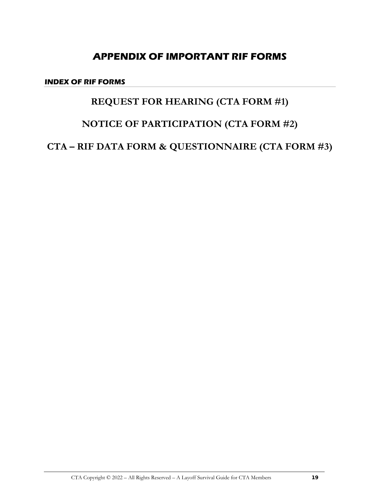# **APPENDIX OF IMPORTANT RIF FORMS**

**INDEX OF RIF FORMS**

# **REQUEST FOR HEARING (CTA FORM #1)**

# **NOTICE OF PARTICIPATION (CTA FORM #2)**

**CTA – RIF DATA FORM & QUESTIONNAIRE (CTA FORM #3)**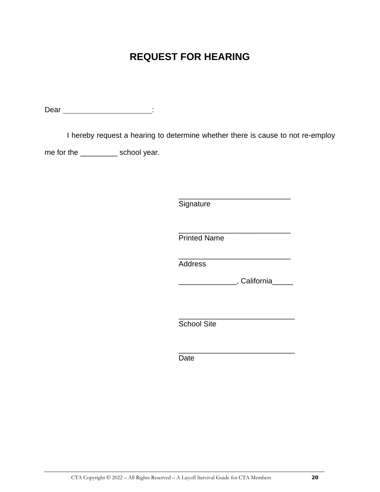# **REQUEST FOR HEARING**

Dear in the contract of the contract of the contract of the contract of the contract of the contract of the contract of the contract of the contract of the contract of the contract of the contract of the contract of the co

I hereby request a hearing to determine whether there is cause to not re-employ

me for the \_\_\_\_\_\_\_\_\_\_\_ school year.

\_\_\_\_\_\_\_\_\_\_\_\_\_\_\_\_\_\_\_\_\_\_\_\_\_\_\_ **Signature** 

\_\_\_\_\_\_\_\_\_\_\_\_\_\_\_\_\_\_\_\_\_\_\_\_\_\_\_ Printed Name

\_\_\_\_\_\_\_\_\_\_\_\_\_\_\_\_\_\_\_\_\_\_\_\_\_\_\_ **Address** 

\_\_\_\_\_\_\_\_\_\_\_\_\_\_, California\_\_\_\_\_

\_\_\_\_\_\_\_\_\_\_\_\_\_\_\_\_\_\_\_\_\_\_\_\_\_\_\_\_ School Site

\_\_\_\_\_\_\_\_\_\_\_\_\_\_\_\_\_\_\_\_\_\_\_\_\_\_\_\_ Date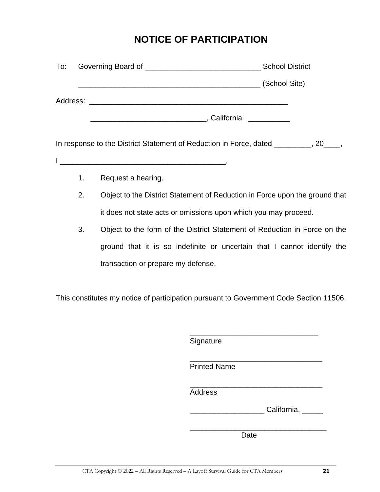# **NOTICE OF PARTICIPATION**

|                | In response to the District Statement of Reduction in Force, dated ________, 20___, |
|----------------|-------------------------------------------------------------------------------------|
|                |                                                                                     |
| 1 <sub>1</sub> | Request a hearing.                                                                  |
| 2.             | Object to the District Statement of Reduction in Force upon the ground that         |
|                | it does not state acts or omissions upon which you may proceed.                     |
| 3.             | Object to the form of the District Statement of Reduction in Force on the           |
|                | ground that it is so indefinite or uncertain that I cannot identify the             |
|                | transaction or prepare my defense.                                                  |
|                |                                                                                     |

This constitutes my notice of participation pursuant to Government Code Section 11506.

| Signature           |             |
|---------------------|-------------|
| <b>Printed Name</b> |             |
| <b>Address</b>      |             |
|                     | California, |
| Date                |             |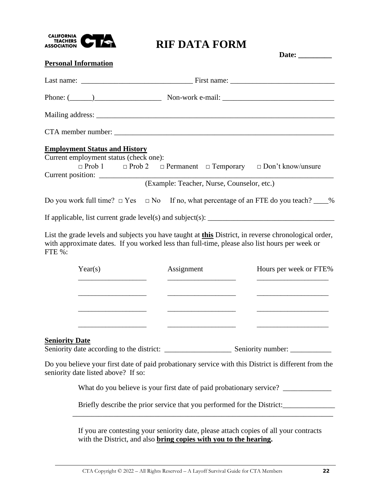

# **RIF DATA FORM**

|                                                                                                         | Date: $\_\_$                                                                                                |
|---------------------------------------------------------------------------------------------------------|-------------------------------------------------------------------------------------------------------------|
| <b>Personal Information</b>                                                                             |                                                                                                             |
|                                                                                                         |                                                                                                             |
|                                                                                                         | Phone: $(\_\_\_\_\_\_\_\$ Non-work e-mail: $\_\_\_\_\_\_\_\_\_$                                             |
|                                                                                                         |                                                                                                             |
|                                                                                                         |                                                                                                             |
| <b>Employment Status and History</b><br>Current employment status (check one):<br>Current position:     | $\Box$ Prob 1 $\Box$ Prob 2 $\Box$ Permanent $\Box$ Temporary $\Box$ Don't know/unsure                      |
|                                                                                                         | (Example: Teacher, Nurse, Counselor, etc.)                                                                  |
|                                                                                                         | Do you work full time? $\Box$ Yes $\Box$ No If no, what percentage of an FTE do you teach? ____%            |
|                                                                                                         |                                                                                                             |
| with approximate dates. If you worked less than full-time, please also list hours per week or<br>FTE %: | List the grade levels and subjects you have taught at <b>this</b> District, in reverse chronological order, |

| Year(s) | Assignment | Hours per week or FTE% |  |
|---------|------------|------------------------|--|
|         |            |                        |  |
|         |            |                        |  |
|         |            |                        |  |
|         |            |                        |  |

#### **Seniority Date**

Seniority date according to the district: \_\_\_\_\_\_\_\_\_\_\_\_\_\_\_\_\_\_ Seniority number: \_\_\_\_\_\_\_\_\_\_\_

Do you believe your first date of paid probationary service with this District is different from the seniority date listed above? If so:

\_\_\_\_\_\_\_\_\_\_\_\_\_\_\_\_\_\_\_\_\_\_\_\_\_\_\_\_\_\_\_\_\_\_\_\_\_\_\_\_\_\_\_\_\_\_\_\_\_\_\_\_\_\_\_\_\_\_\_\_\_\_\_\_\_\_\_\_\_\_

What do you believe is your first date of paid probationary service? \_\_\_\_\_\_\_\_\_\_\_

Briefly describe the prior service that you performed for the District:\_\_\_\_\_\_\_\_\_\_

If you are contesting your seniority date, please attach copies of all your contracts with the District, and also **bring copies with you to the hearing.**